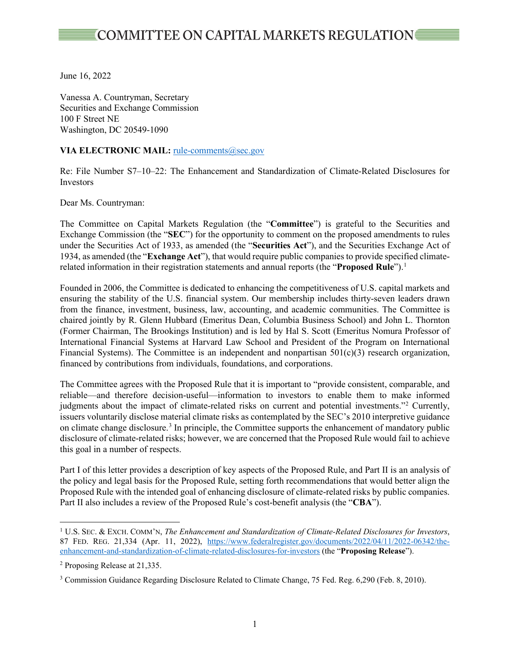June 16, 2022

Vanessa A. Countryman, Secretary Securities and Exchange Commission 100 F Street NE Washington, DC 20549-1090

## VIA ELECTRONIC MAIL: rule-comments@sec.gov

Re: File Number S7–10–22: The Enhancement and Standardization of Climate-Related Disclosures for Investors

Dear Ms. Countryman:

The Committee on Capital Markets Regulation (the "**Committee**") is grateful to the Securities and Exchange Commission (the "**SEC**") for the opportunity to comment on the proposed amendments to rules under the Securities Act of 1933, as amended (the "**Securities Act**"), and the Securities Exchange Act of 1934, as amended (the "**Exchange Act**"), that would require public companies to provide specified climaterelated information in their registration statements and annual reports (the "**Proposed Rule**"). [1](#page-0-0)

Founded in 2006, the Committee is dedicated to enhancing the competitiveness of U.S. capital markets and ensuring the stability of the U.S. financial system. Our membership includes thirty-seven leaders drawn from the finance, investment, business, law, accounting, and academic communities. The Committee is chaired jointly by R. Glenn Hubbard (Emeritus Dean, Columbia Business School) and John L. Thornton (Former Chairman, The Brookings Institution) and is led by Hal S. Scott (Emeritus Nomura Professor of International Financial Systems at Harvard Law School and President of the Program on International Financial Systems). The Committee is an independent and nonpartisan 501(c)(3) research organization, financed by contributions from individuals, foundations, and corporations.

The Committee agrees with the Proposed Rule that it is important to "provide consistent, comparable, and reliable—and therefore decision-useful—information to investors to enable them to make informed judgments about the impact of climate-related risks on current and potential investments."<sup>[2](#page-0-1)</sup> Currently, issuers voluntarily disclose material climate risks as contemplated by the SEC's 2010 interpretive guidance on climate change disclosure.[3](#page-0-2) In principle, the Committee supports the enhancement of mandatory public disclosure of climate-related risks; however, we are concerned that the Proposed Rule would fail to achieve this goal in a number of respects.

Part I of this letter provides a description of key aspects of the Proposed Rule, and Part II is an analysis of the policy and legal basis for the Proposed Rule, setting forth recommendations that would better align the Proposed Rule with the intended goal of enhancing disclosure of climate-related risks by public companies. Part II also includes a review of the Proposed Rule's cost-benefit analysis (the "**CBA**").

<span id="page-0-0"></span><sup>1</sup> U.S. SEC. & EXCH. COMM'N, *The Enhancement and Standardization of Climate-Related Disclosures for Investors*, 87 FED. REG. 21,334 (Apr. 11, 2022), [https://www.federalregister.gov/documents/2022/04/11/2022-06342/the](https://www.federalregister.gov/documents/2022/04/11/2022-06342/the-enhancement-and-standardization-of-climate-related-disclosures-for-investors)[enhancement-and-standardization-of-climate-related-disclosures-for-investors](https://www.federalregister.gov/documents/2022/04/11/2022-06342/the-enhancement-and-standardization-of-climate-related-disclosures-for-investors) (the "**Proposing Release**").

<span id="page-0-1"></span><sup>2</sup> Proposing Release at 21,335.

<span id="page-0-2"></span><sup>&</sup>lt;sup>3</sup> Commission Guidance Regarding Disclosure Related to Climate Change, 75 Fed. Reg. 6,290 (Feb. 8, 2010).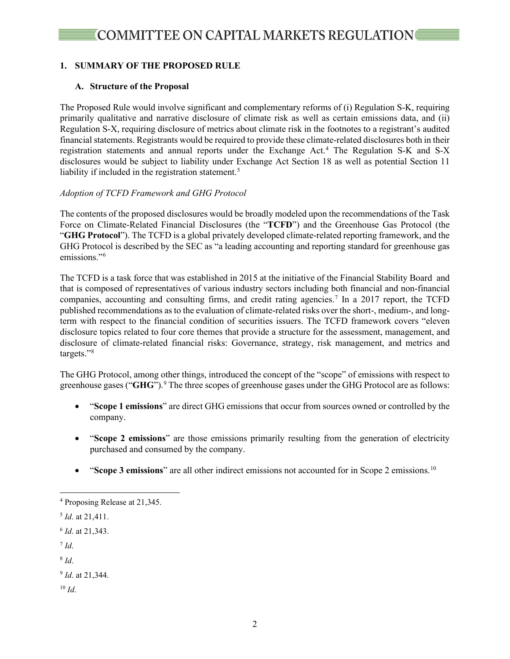# **1. SUMMARY OF THE PROPOSED RULE**

### **A. Structure of the Proposal**

The Proposed Rule would involve significant and complementary reforms of (i) Regulation S-K, requiring primarily qualitative and narrative disclosure of climate risk as well as certain emissions data, and (ii) Regulation S-X, requiring disclosure of metrics about climate risk in the footnotes to a registrant's audited financial statements. Registrants would be required to provide these climate-related disclosures both in their registration statements and annual reports under the Exchange Act.[4](#page-1-0) The Regulation S-K and S-X disclosures would be subject to liability under Exchange Act Section 18 as well as potential Section 11 liability if included in the registration statement.<sup>[5](#page-1-1)</sup>

#### *Adoption of TCFD Framework and GHG Protocol*

The contents of the proposed disclosures would be broadly modeled upon the recommendations of the Task Force on Climate-Related Financial Disclosures (the "**TCFD**") and the Greenhouse Gas Protocol (the "**GHG Protocol**"). The TCFD is a global privately developed climate-related reporting framework, and the GHG Protocol is described by the SEC as "a leading accounting and reporting standard for greenhouse gas emissions."<sup>[6](#page-1-2)</sup>

The TCFD is a task force that was established in 2015 at the initiative of the Financial Stability Board and that is composed of representatives of various industry sectors including both financial and non-financial companies, accounting and consulting firms, and credit rating agencies. [7](#page-1-3) In a 2017 report, the TCFD published recommendations as to the evaluation of climate-related risks over the short-, medium-, and longterm with respect to the financial condition of securities issuers. The TCFD framework covers "eleven disclosure topics related to four core themes that provide a structure for the assessment, management, and disclosure of climate-related financial risks: Governance, strategy, risk management, and metrics and targets.["8](#page-1-4)

The GHG Protocol, among other things, introduced the concept of the "scope" of emissions with respect to greenhouse gases ("**GHG**"). [9](#page-1-5) The three scopes of greenhouse gases under the GHG Protocol are as follows:

- "**Scope 1 emissions**" are direct GHG emissions that occur from sources owned or controlled by the company.
- "**Scope 2 emissions**" are those emissions primarily resulting from the generation of electricity purchased and consumed by the company.
- "**Scope 3 emissions**" are all other indirect emissions not accounted for in Scope 2 emissions.[10](#page-1-6)

<span id="page-1-3"></span> $^7$  *Id*.

<span id="page-1-4"></span><sup>8</sup> *Id*.

<span id="page-1-6"></span> $10 \, Id.$ 

<span id="page-1-0"></span><sup>4</sup> Proposing Release at 21,345.

<span id="page-1-1"></span><sup>5</sup> *Id*. at 21,411.

<span id="page-1-2"></span><sup>6</sup> *Id*. at 21,343.

<span id="page-1-5"></span><sup>9</sup> *Id*. at 21,344.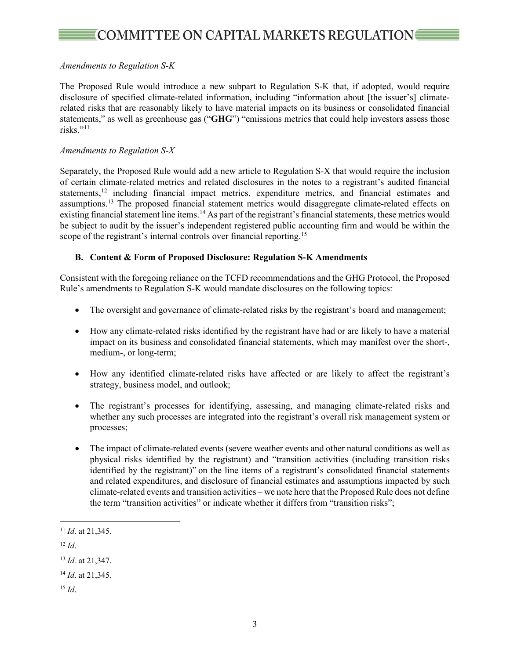### *Amendments to Regulation S-K*

The Proposed Rule would introduce a new subpart to Regulation S-K that, if adopted, would require disclosure of specified climate-related information, including "information about [the issuer's] climaterelated risks that are reasonably likely to have material impacts on its business or consolidated financial statements," as well as greenhouse gas ("**GHG**") "emissions metrics that could help investors assess those risks."[11](#page-2-0)

#### *Amendments to Regulation S-X*

Separately, the Proposed Rule would add a new article to Regulation S-X that would require the inclusion of certain climate-related metrics and related disclosures in the notes to a registrant's audited financial statements,<sup>[12](#page-2-1)</sup> including financial impact metrics, expenditure metrics, and financial estimates and assumptions.[13](#page-2-2) The proposed financial statement metrics would disaggregate climate-related effects on existing financial statement line items.<sup>[14](#page-2-3)</sup> As part of the registrant's financial statements, these metrics would be subject to audit by the issuer's independent registered public accounting firm and would be within the scope of the registrant's internal controls over financial reporting.<sup>[15](#page-2-4)</sup>

#### **B. Content & Form of Proposed Disclosure: Regulation S-K Amendments**

Consistent with the foregoing reliance on the TCFD recommendations and the GHG Protocol, the Proposed Rule's amendments to Regulation S-K would mandate disclosures on the following topics:

- The oversight and governance of climate-related risks by the registrant's board and management;
- How any climate-related risks identified by the registrant have had or are likely to have a material impact on its business and consolidated financial statements, which may manifest over the short-, medium-, or long-term;
- How any identified climate-related risks have affected or are likely to affect the registrant's strategy, business model, and outlook;
- The registrant's processes for identifying, assessing, and managing climate-related risks and whether any such processes are integrated into the registrant's overall risk management system or processes;
- The impact of climate-related events (severe weather events and other natural conditions as well as physical risks identified by the registrant) and "transition activities (including transition risks identified by the registrant)" on the line items of a registrant's consolidated financial statements and related expenditures, and disclosure of financial estimates and assumptions impacted by such climate-related events and transition activities – we note here that the Proposed Rule does not define the term "transition activities" or indicate whether it differs from "transition risks";

<span id="page-2-4"></span><sup>15</sup> *Id*.

<span id="page-2-0"></span><sup>11</sup> *Id*. at 21,345.

<span id="page-2-1"></span><sup>12</sup> *Id*.

<span id="page-2-2"></span><sup>13</sup> *Id.* at 21,347.

<span id="page-2-3"></span><sup>14</sup> *Id*. at 21,345.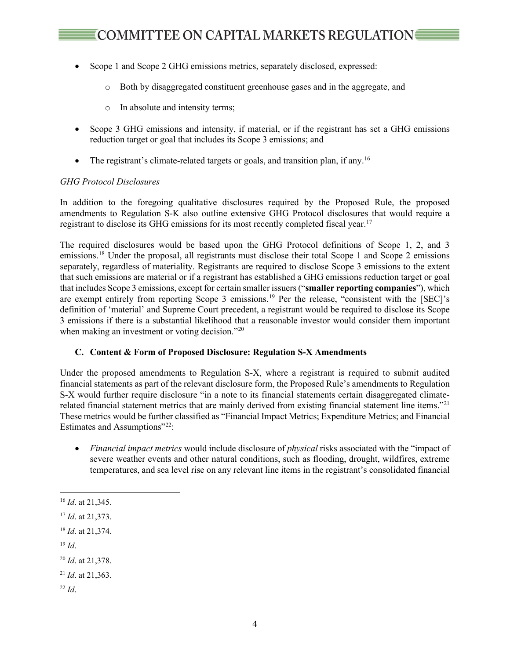- Scope 1 and Scope 2 GHG emissions metrics, separately disclosed, expressed:
	- o Both by disaggregated constituent greenhouse gases and in the aggregate, and
	- o In absolute and intensity terms;
- Scope 3 GHG emissions and intensity, if material, or if the registrant has set a GHG emissions reduction target or goal that includes its Scope 3 emissions; and
- The registrant's climate-related targets or goals, and transition plan, if any.<sup>[16](#page-3-0)</sup>

## *GHG Protocol Disclosures*

In addition to the foregoing qualitative disclosures required by the Proposed Rule, the proposed amendments to Regulation S-K also outline extensive GHG Protocol disclosures that would require a registrant to disclose its GHG emissions for its most recently completed fiscal year.[17](#page-3-1)

The required disclosures would be based upon the GHG Protocol definitions of Scope 1, 2, and 3 emissions.[18](#page-3-2) Under the proposal, all registrants must disclose their total Scope 1 and Scope 2 emissions separately, regardless of materiality. Registrants are required to disclose Scope 3 emissions to the extent that such emissions are material or if a registrant has established a GHG emissions reduction target or goal that includes Scope 3 emissions, except for certain smaller issuers ("**smaller reporting companies**"), which are exempt entirely from reporting Scope 3 emissions.<sup>[19](#page-3-3)</sup> Per the release, "consistent with the [SEC]'s definition of 'material' and Supreme Court precedent, a registrant would be required to disclose its Scope 3 emissions if there is a substantial likelihood that a reasonable investor would consider them important when making an investment or voting decision."<sup>[20](#page-3-4)</sup>

# **C. Content & Form of Proposed Disclosure: Regulation S-X Amendments**

Under the proposed amendments to Regulation S-X, where a registrant is required to submit audited financial statements as part of the relevant disclosure form, the Proposed Rule's amendments to Regulation S-X would further require disclosure "in a note to its financial statements certain disaggregated climaterelated financial statement metrics that are mainly derived from existing financial statement line items."[21](#page-3-5) These metrics would be further classified as "Financial Impact Metrics; Expenditure Metrics; and Financial Estimates and Assumptions"<sup>22</sup>:

• *Financial impact metrics* would include disclosure of *physical* risks associated with the "impact of severe weather events and other natural conditions, such as flooding, drought, wildfires, extreme temperatures, and sea level rise on any relevant line items in the registrant's consolidated financial

<span id="page-3-3"></span><sup>19</sup> *Id*.

<span id="page-3-6"></span><sup>22</sup> *Id*.

<span id="page-3-0"></span><sup>16</sup> *Id*. at 21,345.

<span id="page-3-1"></span><sup>17</sup> *Id*. at 21,373.

<span id="page-3-2"></span><sup>18</sup> *Id*. at 21,374.

<span id="page-3-4"></span><sup>20</sup> *Id*. at 21,378.

<span id="page-3-5"></span><sup>21</sup> *Id*. at 21,363.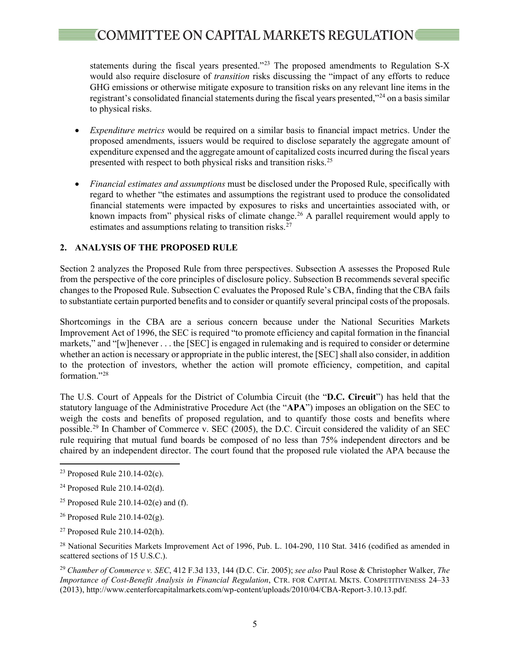# $\blacksquare$  COMMITTEE ON CAPITAL MARKETS REGULATION  $\blacksquare$

statements during the fiscal years presented."<sup>[23](#page-4-0)</sup> The proposed amendments to Regulation S-X would also require disclosure of *transition* risks discussing the "impact of any efforts to reduce GHG emissions or otherwise mitigate exposure to transition risks on any relevant line items in the registrant's consolidated financial statements during the fiscal years presented,"[24](#page-4-1) on a basis similar to physical risks.

- *Expenditure metrics* would be required on a similar basis to financial impact metrics. Under the proposed amendments, issuers would be required to disclose separately the aggregate amount of expenditure expensed and the aggregate amount of capitalized costs incurred during the fiscal years presented with respect to both physical risks and transition risks.<sup>[25](#page-4-2)</sup>
- *Financial estimates and assumptions* must be disclosed under the Proposed Rule, specifically with regard to whether "the estimates and assumptions the registrant used to produce the consolidated financial statements were impacted by exposures to risks and uncertainties associated with, or known impacts from" physical risks of climate change.<sup>[26](#page-4-3)</sup> A parallel requirement would apply to estimates and assumptions relating to transition risks. $27$

# **2. ANALYSIS OF THE PROPOSED RULE**

Section 2 analyzes the Proposed Rule from three perspectives. Subsection A assesses the Proposed Rule from the perspective of the core principles of disclosure policy. Subsection B recommends several specific changes to the Proposed Rule. Subsection C evaluates the Proposed Rule's CBA, finding that the CBA fails to substantiate certain purported benefits and to consider or quantify several principal costs of the proposals.

Shortcomings in the CBA are a serious concern because under the National Securities Markets Improvement Act of 1996, the SEC is required "to promote efficiency and capital formation in the financial markets," and "[w]henever . . . the [SEC] is engaged in rulemaking and is required to consider or determine whether an action is necessary or appropriate in the public interest, the [SEC] shall also consider, in addition to the protection of investors, whether the action will promote efficiency, competition, and capital formation.["28](#page-4-5)

The U.S. Court of Appeals for the District of Columbia Circuit (the "**D.C. Circuit**") has held that the statutory language of the Administrative Procedure Act (the "**APA**") imposes an obligation on the SEC to weigh the costs and benefits of proposed regulation, and to quantify those costs and benefits where possible.[29](#page-4-6) In Chamber of Commerce v. SEC (2005), the D.C. Circuit considered the validity of an SEC rule requiring that mutual fund boards be composed of no less than 75% independent directors and be chaired by an independent director. The court found that the proposed rule violated the APA because the

- <span id="page-4-2"></span><sup>25</sup> Proposed Rule 210.14-02(e) and (f).
- <span id="page-4-3"></span><sup>26</sup> Proposed Rule 210.14-02(g).
- <span id="page-4-4"></span><sup>27</sup> Proposed Rule 210.14-02(h).

<span id="page-4-5"></span> $28$  National Securities Markets Improvement Act of 1996, Pub. L. 104-290, 110 Stat. 3416 (codified as amended in scattered sections of 15 U.S.C.).

<span id="page-4-6"></span><sup>29</sup> *Chamber of Commerce v. SEC*, 412 F.3d 133, 144 (D.C. Cir. 2005); *see also* Paul Rose & Christopher Walker, *The Importance of Cost-Benefit Analysis in Financial Regulation*, CTR. FOR CAPITAL MKTS. COMPETITIVENESS 24–33 (2013), http://www.centerforcapitalmarkets.com/wp-content/uploads/2010/04/CBA-Report-3.10.13.pdf.

<span id="page-4-0"></span><sup>23</sup> Proposed Rule 210.14-02(c).

<span id="page-4-1"></span><sup>24</sup> Proposed Rule 210.14-02(d).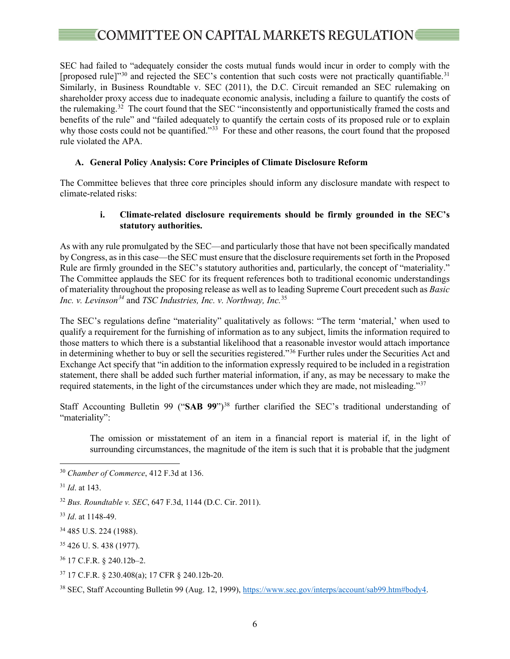# $\equiv$  COMMITTEE ON CAPITAL MARKETS REGULATION

SEC had failed to "adequately consider the costs mutual funds would incur in order to comply with the [proposed rule]"<sup>[30](#page-5-0)</sup> and rejected the SEC's contention that such costs were not practically quantifiable.<sup>[31](#page-5-1)</sup> Similarly, in Business Roundtable v. SEC (2011), the D.C. Circuit remanded an SEC rulemaking on shareholder proxy access due to inadequate economic analysis, including a failure to quantify the costs of the rulemaking[.32](#page-5-2) The court found that the SEC "inconsistently and opportunistically framed the costs and benefits of the rule" and "failed adequately to quantify the certain costs of its proposed rule or to explain why those costs could not be quantified."<sup>33</sup> For these and other reasons, the court found that the proposed rule violated the APA.

### **A. General Policy Analysis: Core Principles of Climate Disclosure Reform**

<span id="page-5-9"></span>The Committee believes that three core principles should inform any disclosure mandate with respect to climate-related risks:

#### **i. Climate-related disclosure requirements should be firmly grounded in the SEC's statutory authorities.**

As with any rule promulgated by the SEC—and particularly those that have not been specifically mandated by Congress, as in this case—the SEC must ensure that the disclosure requirements set forth in the Proposed Rule are firmly grounded in the SEC's statutory authorities and, particularly, the concept of "materiality." The Committee applauds the SEC for its frequent references both to traditional economic understandings of materiality throughout the proposing release as well as to leading Supreme Court precedent such as *Basic Inc. v. Levinson[34](#page-5-4)* and *TSC Industries, Inc. v. Northway, Inc.*[35](#page-5-5)

The SEC's regulations define "materiality" qualitatively as follows: "The term 'material,' when used to qualify a requirement for the furnishing of information as to any subject, limits the information required to those matters to which there is a substantial likelihood that a reasonable investor would attach importance in determining whether to buy or sell the securities registered."[36](#page-5-6) Further rules under the Securities Act and Exchange Act specify that "in addition to the information expressly required to be included in a registration statement, there shall be added such further material information, if any, as may be necessary to make the required statements, in the light of the circumstances under which they are made, not misleading."[37](#page-5-7)

Staff Accounting Bulletin 99 ("SAB 99")<sup>[38](#page-5-8)</sup> further clarified the SEC's traditional understanding of "materiality":

The omission or misstatement of an item in a financial report is material if, in the light of surrounding circumstances, the magnitude of the item is such that it is probable that the judgment

<span id="page-5-5"></span><sup>35</sup> 426 U. S. 438 (1977).

<span id="page-5-6"></span><sup>36</sup> 17 C.F.R. § 240.12b–2.

<span id="page-5-7"></span><sup>37</sup> 17 C.F.R. § 230.408(a); 17 CFR § 240.12b-20.

<span id="page-5-0"></span><sup>30</sup> *Chamber of Commerce*, 412 F.3d at 136.

<span id="page-5-1"></span><sup>31</sup> *Id*. at 143.

<span id="page-5-2"></span><sup>32</sup> *Bus. Roundtable v. SEC*, 647 F.3d, 1144 (D.C. Cir. 2011).

<span id="page-5-3"></span><sup>33</sup> *Id*. at 1148-49.

<span id="page-5-4"></span><sup>34</sup> 485 U.S. 224 (1988).

<span id="page-5-8"></span><sup>38</sup> SEC, Staff Accounting Bulletin 99 (Aug. 12, 1999)[, https://www.sec.gov/interps/account/sab99.htm#body4.](https://www.sec.gov/interps/account/sab99.htm#body4)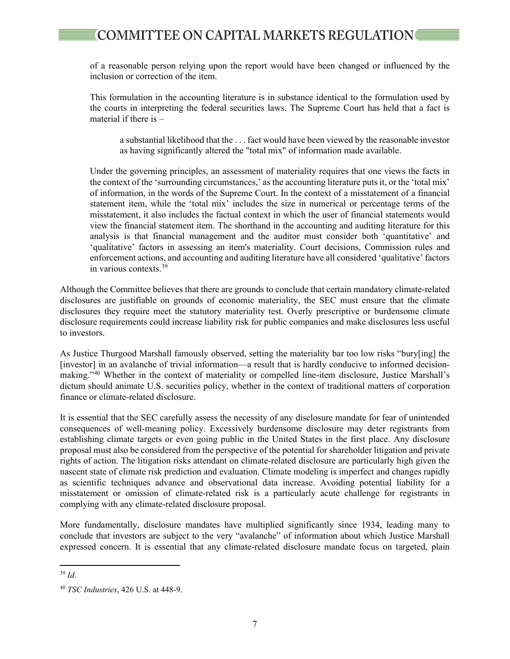of a reasonable person relying upon the report would have been changed or influenced by the inclusion or correction of the item.

This formulation in the accounting literature is in substance identical to the formulation used by the courts in interpreting the federal securities laws. The Supreme Court has held that a fact is material if there is  $-$ 

a substantial likelihood that the . . . fact would have been viewed by the reasonable investor as having significantly altered the "total mix" of information made available.

Under the governing principles, an assessment of materiality requires that one views the facts in the context of the 'surrounding circumstances,' as the accounting literature puts it, or the 'total mix' of information, in the words of the Supreme Court. In the context of a misstatement of a financial statement item, while the 'total mix' includes the size in numerical or percentage terms of the misstatement, it also includes the factual context in which the user of financial statements would view the financial statement item. The shorthand in the accounting and auditing literature for this analysis is that financial management and the auditor must consider both 'quantitative' and 'qualitative' factors in assessing an item's materiality. Court decisions, Commission rules and enforcement actions, and accounting and auditing literature have all considered 'qualitative' factors in various contexts.[39](#page-6-0)

Although the Committee believes that there are grounds to conclude that certain mandatory climate-related disclosures are justifiable on grounds of economic materiality, the SEC must ensure that the climate disclosures they require meet the statutory materiality test. Overly prescriptive or burdensome climate disclosure requirements could increase liability risk for public companies and make disclosures less useful to investors.

As Justice Thurgood Marshall famously observed, setting the materiality bar too low risks "bury[ing] the [investor] in an avalanche of trivial information—a result that is hardly conducive to informed decisionmaking."[40](#page-6-1) Whether in the context of materiality or compelled line-item disclosure, Justice Marshall's dictum should animate U.S. securities policy, whether in the context of traditional matters of corporation finance or climate-related disclosure.

It is essential that the SEC carefully assess the necessity of any disclosure mandate for fear of unintended consequences of well-meaning policy. Excessively burdensome disclosure may deter registrants from establishing climate targets or even going public in the United States in the first place. Any disclosure proposal must also be considered from the perspective of the potential for shareholder litigation and private rights of action. The litigation risks attendant on climate-related disclosure are particularly high given the nascent state of climate risk prediction and evaluation. Climate modeling is imperfect and changes rapidly as scientific techniques advance and observational data increase. Avoiding potential liability for a misstatement or omission of climate-related risk is a particularly acute challenge for registrants in complying with any climate-related disclosure proposal.

More fundamentally, disclosure mandates have multiplied significantly since 1934, leading many to conclude that investors are subject to the very "avalanche" of information about which Justice Marshall expressed concern. It is essential that any climate-related disclosure mandate focus on targeted, plain

<span id="page-6-0"></span><sup>39</sup> *Id*.

<span id="page-6-1"></span><sup>40</sup> *TSC Industries*, 426 U.S. at 448-9.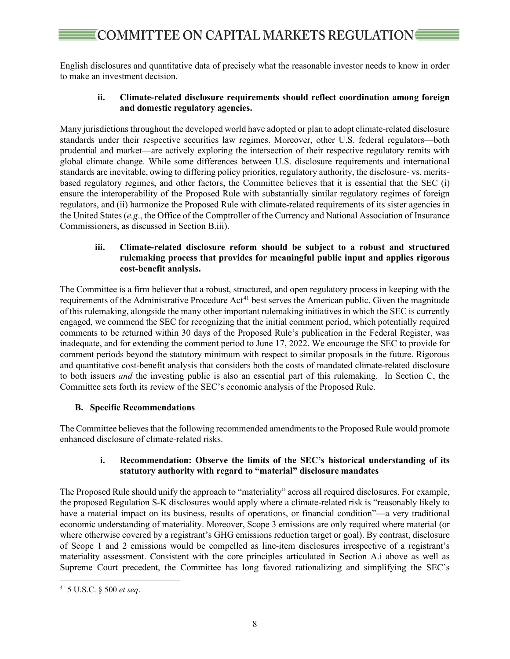English disclosures and quantitative data of precisely what the reasonable investor needs to know in order to make an investment decision.

## **ii. Climate-related disclosure requirements should reflect coordination among foreign and domestic regulatory agencies.**

Many jurisdictions throughout the developed world have adopted or plan to adopt climate-related disclosure standards under their respective securities law regimes. Moreover, other U.S. federal regulators—both prudential and market—are actively exploring the intersection of their respective regulatory remits with global climate change. While some differences between U.S. disclosure requirements and international standards are inevitable, owing to differing policy priorities, regulatory authority, the disclosure- vs. meritsbased regulatory regimes, and other factors, the Committee believes that it is essential that the SEC (i) ensure the interoperability of the Proposed Rule with substantially similar regulatory regimes of foreign regulators, and (ii) harmonize the Proposed Rule with climate-related requirements of its sister agencies in the United States (*e*.*g*., the Office of the Comptroller of the Currency and National Association of Insurance Commissioners, as discussed in Section [B.iii\)](#page-10-0).

## **iii. Climate-related disclosure reform should be subject to a robust and structured rulemaking process that provides for meaningful public input and applies rigorous cost-benefit analysis.**

The Committee is a firm believer that a robust, structured, and open regulatory process in keeping with the requirements of the Administrative Procedure  $Act^{41}$  best serves the American public. Given the magnitude of this rulemaking, alongside the many other important rulemaking initiatives in which the SEC is currently engaged, we commend the SEC for recognizing that the initial comment period, which potentially required comments to be returned within 30 days of the Proposed Rule's publication in the Federal Register, was inadequate, and for extending the comment period to June 17, 2022. We encourage the SEC to provide for comment periods beyond the statutory minimum with respect to similar proposals in the future. Rigorous and quantitative cost-benefit analysis that considers both the costs of mandated climate-related disclosure to both issuers *and* the investing public is also an essential part of this rulemaking. In Section C, the Committee sets forth its review of the SEC's economic analysis of the Proposed Rule.

# **B. Specific Recommendations**

The Committee believes that the following recommended amendments to the Proposed Rule would promote enhanced disclosure of climate-related risks.

## **i. Recommendation: Observe the limits of the SEC's historical understanding of its statutory authority with regard to "material" disclosure mandates**

The Proposed Rule should unify the approach to "materiality" across all required disclosures. For example, the proposed Regulation S-K disclosures would apply where a climate-related risk is "reasonably likely to have a material impact on its business, results of operations, or financial condition"—a very traditional economic understanding of materiality. Moreover, Scope 3 emissions are only required where material (or where otherwise covered by a registrant's GHG emissions reduction target or goal). By contrast, disclosure of Scope 1 and 2 emissions would be compelled as line-item disclosures irrespective of a registrant's materiality assessment. Consistent with the core principles articulated in Section [A.i](#page-5-9) above as well as Supreme Court precedent, the Committee has long favored rationalizing and simplifying the SEC's

<span id="page-7-0"></span><sup>41</sup> 5 U.S.C. § 500 *et seq*.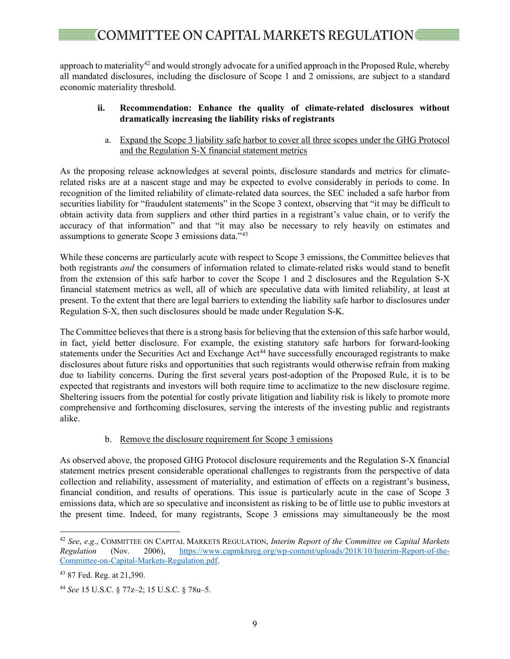approach to materiality<sup>[42](#page-8-0)</sup> and would strongly advocate for a unified approach in the Proposed Rule, whereby all mandated disclosures, including the disclosure of Scope 1 and 2 omissions, are subject to a standard economic materiality threshold.

### **ii. Recommendation: Enhance the quality of climate-related disclosures without dramatically increasing the liability risks of registrants**

a. Expand the Scope 3 liability safe harbor to cover all three scopes under the GHG Protocol and the Regulation S-X financial statement metrics

As the proposing release acknowledges at several points, disclosure standards and metrics for climaterelated risks are at a nascent stage and may be expected to evolve considerably in periods to come. In recognition of the limited reliability of climate-related data sources, the SEC included a safe harbor from securities liability for "fraudulent statements" in the Scope 3 context, observing that "it may be difficult to obtain activity data from suppliers and other third parties in a registrant's value chain, or to verify the accuracy of that information" and that "it may also be necessary to rely heavily on estimates and assumptions to generate Scope 3 emissions data."[43](#page-8-1) 

While these concerns are particularly acute with respect to Scope 3 emissions, the Committee believes that both registrants *and* the consumers of information related to climate-related risks would stand to benefit from the extension of this safe harbor to cover the Scope 1 and 2 disclosures and the Regulation S-X financial statement metrics as well, all of which are speculative data with limited reliability, at least at present. To the extent that there are legal barriers to extending the liability safe harbor to disclosures under Regulation S-X, then such disclosures should be made under Regulation S-K.

The Committee believes that there is a strong basis for believing that the extension of this safe harbor would, in fact, yield better disclosure. For example, the existing statutory safe harbors for forward-looking statements under the Securities Act and Exchange Act<sup>[44](#page-8-2)</sup> have successfully encouraged registrants to make disclosures about future risks and opportunities that such registrants would otherwise refrain from making due to liability concerns. During the first several years post-adoption of the Proposed Rule, it is to be expected that registrants and investors will both require time to acclimatize to the new disclosure regime. Sheltering issuers from the potential for costly private litigation and liability risk is likely to promote more comprehensive and forthcoming disclosures, serving the interests of the investing public and registrants alike.

# b. Remove the disclosure requirement for Scope 3 emissions

As observed above, the proposed GHG Protocol disclosure requirements and the Regulation S-X financial statement metrics present considerable operational challenges to registrants from the perspective of data collection and reliability, assessment of materiality, and estimation of effects on a registrant's business, financial condition, and results of operations. This issue is particularly acute in the case of Scope 3 emissions data, which are so speculative and inconsistent as risking to be of little use to public investors at the present time. Indeed, for many registrants, Scope 3 emissions may simultaneously be the most

<span id="page-8-0"></span><sup>42</sup> *See*, *e*.*g*., COMMITTEE ON CAPITAL MARKETS REGULATION, *Interim Report of the Committee on Capital Markets Regulation* (Nov. 2006), [https://www.capmktsreg.org/wp-content/uploads/2018/10/Interim-Report-of-the-](https://www.capmktsreg.org/wp-content/uploads/2018/10/Interim-Report-of-the-Committee-on-Capital-Markets-Regulation.pdf)[Committee-on-Capital-Markets-Regulation.pdf.](https://www.capmktsreg.org/wp-content/uploads/2018/10/Interim-Report-of-the-Committee-on-Capital-Markets-Regulation.pdf)

<span id="page-8-1"></span><sup>43</sup> 87 Fed. Reg. at 21,390.

<span id="page-8-2"></span><sup>44</sup> *See* 15 U.S.C. § 77z–2; 15 U.S.C. § 78u–5.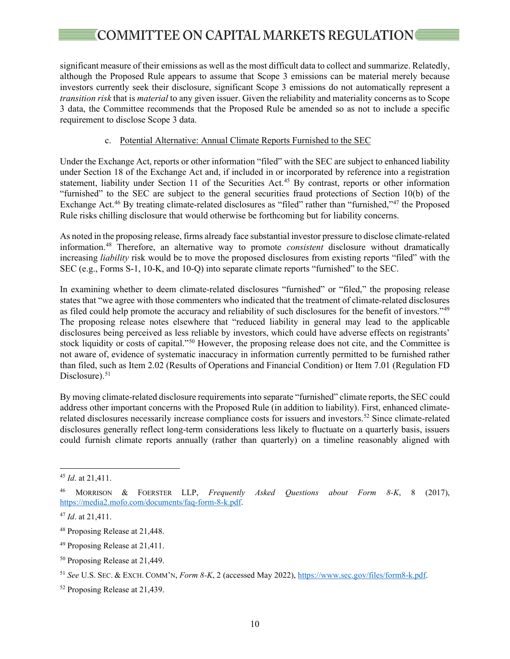# $\equiv$  COMMITTEE ON CAPITAL MARKETS REGULATION

significant measure of their emissions as well as the most difficult data to collect and summarize. Relatedly, although the Proposed Rule appears to assume that Scope 3 emissions can be material merely because investors currently seek their disclosure, significant Scope 3 emissions do not automatically represent a *transition risk* that is *material* to any given issuer. Given the reliability and materiality concerns as to Scope 3 data, the Committee recommends that the Proposed Rule be amended so as not to include a specific requirement to disclose Scope 3 data.

#### c. Potential Alternative: Annual Climate Reports Furnished to the SEC

Under the Exchange Act, reports or other information "filed" with the SEC are subject to enhanced liability under Section 18 of the Exchange Act and, if included in or incorporated by reference into a registration statement, liability under Section 11 of the Securities Act.<sup>[45](#page-9-0)</sup> By contrast, reports or other information "furnished" to the SEC are subject to the general securities fraud protections of Section 10(b) of the Exchange Act.<sup>46</sup> By treating climate-related disclosures as "filed" rather than "furnished,"<sup>[47](#page-9-2)</sup> the Proposed Rule risks chilling disclosure that would otherwise be forthcoming but for liability concerns.

As noted in the proposing release, firms already face substantial investor pressure to disclose climate-related information.[48](#page-9-3) Therefore, an alternative way to promote *consistent* disclosure without dramatically increasing *liability* risk would be to move the proposed disclosures from existing reports "filed" with the SEC (e.g., Forms S-1, 10-K, and 10-Q) into separate climate reports "furnished" to the SEC.

In examining whether to deem climate-related disclosures "furnished" or "filed," the proposing release states that "we agree with those commenters who indicated that the treatment of climate-related disclosures as filed could help promote the accuracy and reliability of such disclosures for the benefit of investors."[49](#page-9-4) The proposing release notes elsewhere that "reduced liability in general may lead to the applicable disclosures being perceived as less reliable by investors, which could have adverse effects on registrants' stock liquidity or costs of capital."[50](#page-9-5) However, the proposing release does not cite, and the Committee is not aware of, evidence of systematic inaccuracy in information currently permitted to be furnished rather than filed, such as Item 2.02 (Results of Operations and Financial Condition) or Item 7.01 (Regulation FD Disclosure).<sup>[51](#page-9-6)</sup>

By moving climate-related disclosure requirements into separate "furnished" climate reports, the SEC could address other important concerns with the Proposed Rule (in addition to liability). First, enhanced climaterelated disclosures necessarily increase compliance costs for issuers and investors.[52](#page-9-7) Since climate-related disclosures generally reflect long-term considerations less likely to fluctuate on a quarterly basis, issuers could furnish climate reports annually (rather than quarterly) on a timeline reasonably aligned with

<span id="page-9-0"></span><sup>45</sup> *Id*. at 21,411.

<span id="page-9-1"></span><sup>46</sup> MORRISON & FOERSTER LLP, *Frequently Asked Questions about Form 8-K*, 8 (2017), [https://media2.mofo.com/documents/faq-form-8-k.pdf.](https://media2.mofo.com/documents/faq-form-8-k.pdf)

<span id="page-9-2"></span><sup>47</sup> *Id*. at 21,411.

<span id="page-9-3"></span><sup>48</sup> Proposing Release at 21,448.

<span id="page-9-4"></span><sup>49</sup> Proposing Release at 21,411.

<span id="page-9-5"></span><sup>50</sup> Proposing Release at 21,449.

<span id="page-9-6"></span><sup>51</sup> *See* U.S. SEC. & EXCH. COMM'N, *Form 8-K*, 2 (accessed May 2022)[, https://www.sec.gov/files/form8-k.pdf.](https://www.sec.gov/files/form8-k.pdf) 

<span id="page-9-7"></span><sup>52</sup> Proposing Release at 21,439.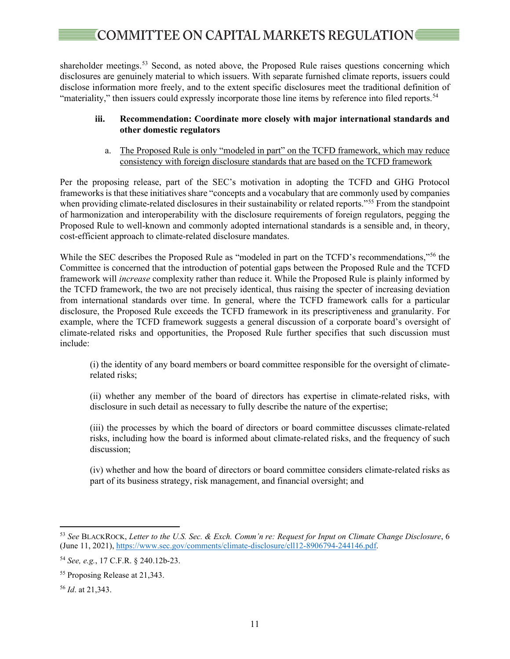shareholder meetings.<sup>53</sup> Second, as noted above, the Proposed Rule raises questions concerning which disclosures are genuinely material to which issuers. With separate furnished climate reports, issuers could disclose information more freely, and to the extent specific disclosures meet the traditional definition of "materiality," then issuers could expressly incorporate those line items by reference into filed reports.<sup>54</sup>

# <span id="page-10-0"></span>**iii. Recommendation: Coordinate more closely with major international standards and other domestic regulators**

a. The Proposed Rule is only "modeled in part" on the TCFD framework, which may reduce consistency with foreign disclosure standards that are based on the TCFD framework

Per the proposing release, part of the SEC's motivation in adopting the TCFD and GHG Protocol frameworks is that these initiatives share "concepts and a vocabulary that are commonly used by companies when providing climate-related disclosures in their sustainability or related reports."<sup>[55](#page-10-3)</sup> From the standpoint of harmonization and interoperability with the disclosure requirements of foreign regulators, pegging the Proposed Rule to well-known and commonly adopted international standards is a sensible and, in theory, cost-efficient approach to climate-related disclosure mandates.

While the SEC describes the Proposed Rule as "modeled in part on the TCFD's recommendations,"<sup>56</sup> the Committee is concerned that the introduction of potential gaps between the Proposed Rule and the TCFD framework will *increase* complexity rather than reduce it. While the Proposed Rule is plainly informed by the TCFD framework, the two are not precisely identical, thus raising the specter of increasing deviation from international standards over time. In general, where the TCFD framework calls for a particular disclosure, the Proposed Rule exceeds the TCFD framework in its prescriptiveness and granularity. For example, where the TCFD framework suggests a general discussion of a corporate board's oversight of climate-related risks and opportunities, the Proposed Rule further specifies that such discussion must include:

(i) the identity of any board members or board committee responsible for the oversight of climaterelated risks;

(ii) whether any member of the board of directors has expertise in climate-related risks, with disclosure in such detail as necessary to fully describe the nature of the expertise;

(iii) the processes by which the board of directors or board committee discusses climate-related risks, including how the board is informed about climate-related risks, and the frequency of such discussion;

(iv) whether and how the board of directors or board committee considers climate-related risks as part of its business strategy, risk management, and financial oversight; and

<span id="page-10-1"></span><sup>53</sup> *See* BLACKROCK, *Letter to the U.S. Sec. & Exch. Comm'n re: Request for Input on Climate Change Disclosure*, 6 (June 11, 2021)[, https://www.sec.gov/comments/climate-disclosure/cll12-8906794-244146.pdf.](https://www.sec.gov/comments/climate-disclosure/cll12-8906794-244146.pdf)

<span id="page-10-2"></span><sup>54</sup> *See, e.g.*, 17 C.F.R. § 240.12b-23.

<span id="page-10-3"></span><sup>55</sup> Proposing Release at 21,343.

<span id="page-10-4"></span><sup>56</sup> *Id*. at 21,343.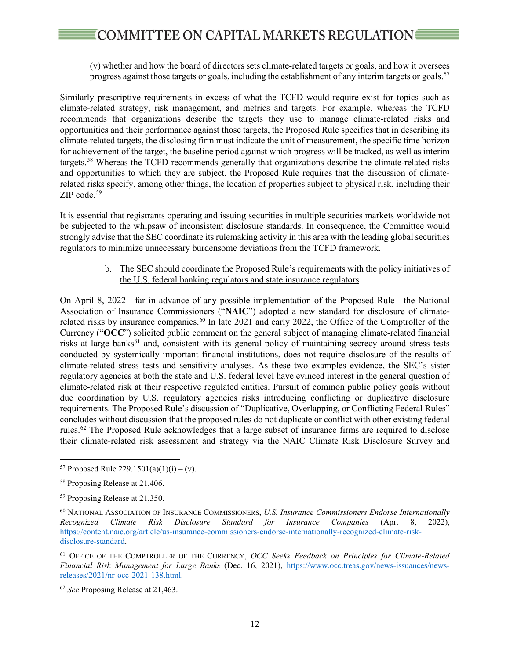(v) whether and how the board of directors sets climate-related targets or goals, and how it oversees progress against those targets or goals, including the establishment of any interim targets or goals.<sup>[57](#page-11-0)</sup>

Similarly prescriptive requirements in excess of what the TCFD would require exist for topics such as climate-related strategy, risk management, and metrics and targets. For example, whereas the TCFD recommends that organizations describe the targets they use to manage climate-related risks and opportunities and their performance against those targets, the Proposed Rule specifies that in describing its climate-related targets, the disclosing firm must indicate the unit of measurement, the specific time horizon for achievement of the target, the baseline period against which progress will be tracked, as well as interim targets.[58](#page-11-1) Whereas the TCFD recommends generally that organizations describe the climate-related risks and opportunities to which they are subject, the Proposed Rule requires that the discussion of climaterelated risks specify, among other things, the location of properties subject to physical risk, including their  $ZIP$  code.<sup>[59](#page-11-2)</sup>

It is essential that registrants operating and issuing securities in multiple securities markets worldwide not be subjected to the whipsaw of inconsistent disclosure standards. In consequence, the Committee would strongly advise that the SEC coordinate its rulemaking activity in this area with the leading global securities regulators to minimize unnecessary burdensome deviations from the TCFD framework.

#### b. The SEC should coordinate the Proposed Rule's requirements with the policy initiatives of the U.S. federal banking regulators and state insurance regulators

On April 8, 2022—far in advance of any possible implementation of the Proposed Rule—the National Association of Insurance Commissioners ("**NAIC**") adopted a new standard for disclosure of climate-related risks by insurance companies.<sup>[60](#page-11-3)</sup> In late 2021 and early 2022, the Office of the Comptroller of the Currency ("**OCC**") solicited public comment on the general subject of managing climate-related financial risks at large banks<sup>61</sup> and, consistent with its general policy of maintaining secrecy around stress tests conducted by systemically important financial institutions, does not require disclosure of the results of climate-related stress tests and sensitivity analyses. As these two examples evidence, the SEC's sister regulatory agencies at both the state and U.S. federal level have evinced interest in the general question of climate-related risk at their respective regulated entities. Pursuit of common public policy goals without due coordination by U.S. regulatory agencies risks introducing conflicting or duplicative disclosure requirements. The Proposed Rule's discussion of "Duplicative, Overlapping, or Conflicting Federal Rules" concludes without discussion that the proposed rules do not duplicate or conflict with other existing federal rules.[62](#page-11-5) The Proposed Rule acknowledges that a large subset of insurance firms are required to disclose their climate-related risk assessment and strategy via the NAIC Climate Risk Disclosure Survey and

<span id="page-11-0"></span><sup>&</sup>lt;sup>57</sup> Proposed Rule 229.1501(a)(1)(i) – (v).

<span id="page-11-1"></span><sup>58</sup> Proposing Release at 21,406.

<span id="page-11-2"></span><sup>59</sup> Proposing Release at 21,350.

<span id="page-11-3"></span><sup>60</sup> NATIONAL ASSOCIATION OF INSURANCE COMMISSIONERS, *U.S. Insurance Commissioners Endorse Internationally Recognized Climate Risk Disclosure Standard for Insurance Companies* (Apr. 8, 2022), [https://content.naic.org/article/us-insurance-commissioners-endorse-internationally-recognized-climate-risk](https://content.naic.org/article/us-insurance-commissioners-endorse-internationally-recognized-climate-risk-disclosure-standard)[disclosure-standard.](https://content.naic.org/article/us-insurance-commissioners-endorse-internationally-recognized-climate-risk-disclosure-standard)

<span id="page-11-4"></span><sup>61</sup> OFFICE OF THE COMPTROLLER OF THE CURRENCY, *OCC Seeks Feedback on Principles for Climate-Related Financial Risk Management for Large Banks* (Dec. 16, 2021), [https://www.occ.treas.gov/news-issuances/news](https://www.occ.treas.gov/news-issuances/news-releases/2021/nr-occ-2021-138.html)[releases/2021/nr-occ-2021-138.html.](https://www.occ.treas.gov/news-issuances/news-releases/2021/nr-occ-2021-138.html)

<span id="page-11-5"></span><sup>62</sup> *See* Proposing Release at 21,463.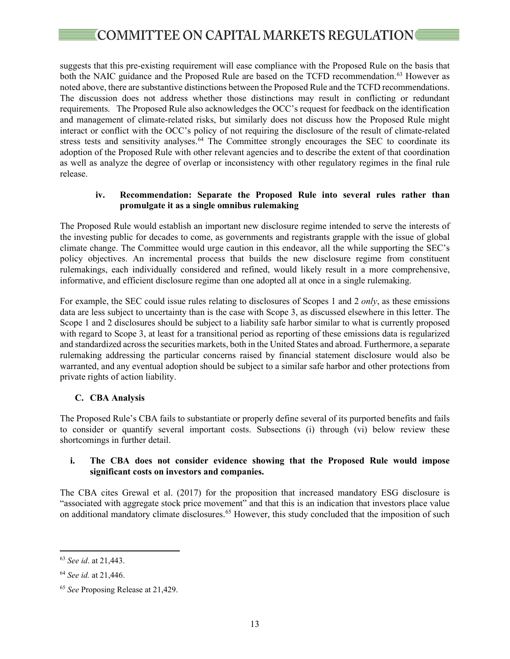suggests that this pre-existing requirement will ease compliance with the Proposed Rule on the basis that both the NAIC guidance and the Proposed Rule are based on the TCFD recommendation.<sup>[63](#page-12-0)</sup> However as noted above, there are substantive distinctions between the Proposed Rule and the TCFD recommendations. The discussion does not address whether those distinctions may result in conflicting or redundant requirements. The Proposed Rule also acknowledges the OCC's request for feedback on the identification and management of climate-related risks, but similarly does not discuss how the Proposed Rule might interact or conflict with the OCC's policy of not requiring the disclosure of the result of climate-related stress tests and sensitivity analyses.<sup>[64](#page-12-1)</sup> The Committee strongly encourages the SEC to coordinate its adoption of the Proposed Rule with other relevant agencies and to describe the extent of that coordination as well as analyze the degree of overlap or inconsistency with other regulatory regimes in the final rule release.

## **iv. Recommendation: Separate the Proposed Rule into several rules rather than promulgate it as a single omnibus rulemaking**

The Proposed Rule would establish an important new disclosure regime intended to serve the interests of the investing public for decades to come, as governments and registrants grapple with the issue of global climate change. The Committee would urge caution in this endeavor, all the while supporting the SEC's policy objectives. An incremental process that builds the new disclosure regime from constituent rulemakings, each individually considered and refined, would likely result in a more comprehensive, informative, and efficient disclosure regime than one adopted all at once in a single rulemaking.

For example, the SEC could issue rules relating to disclosures of Scopes 1 and 2 *only*, as these emissions data are less subject to uncertainty than is the case with Scope 3, as discussed elsewhere in this letter. The Scope 1 and 2 disclosures should be subject to a liability safe harbor similar to what is currently proposed with regard to Scope 3, at least for a transitional period as reporting of these emissions data is regularized and standardized across the securities markets, both in the United States and abroad. Furthermore, a separate rulemaking addressing the particular concerns raised by financial statement disclosure would also be warranted, and any eventual adoption should be subject to a similar safe harbor and other protections from private rights of action liability.

# **C. CBA Analysis**

The Proposed Rule's CBA fails to substantiate or properly define several of its purported benefits and fails to consider or quantify several important costs. Subsections (i) through (vi) below review these shortcomings in further detail.

# **i. The CBA does not consider evidence showing that the Proposed Rule would impose significant costs on investors and companies.**

The CBA cites Grewal et al. (2017) for the proposition that increased mandatory ESG disclosure is "associated with aggregate stock price movement" and that this is an indication that investors place value on additional mandatory climate disclosures.<sup>[65](#page-12-2)</sup> However, this study concluded that the imposition of such

<span id="page-12-0"></span><sup>63</sup> *See id*. at 21,443.

<span id="page-12-1"></span><sup>64</sup> *See id.* at 21,446.

<span id="page-12-2"></span><sup>65</sup> *See* Proposing Release at 21,429.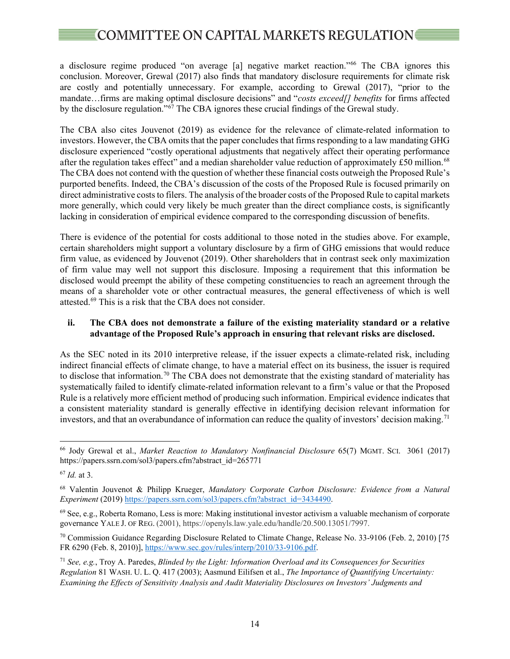# $\equiv$  COMMITTEE ON CAPITAL MARKETS REGULATION $\equiv$

a disclosure regime produced "on average [a] negative market reaction."[66](#page-13-0) The CBA ignores this conclusion. Moreover, Grewal (2017) also finds that mandatory disclosure requirements for climate risk are costly and potentially unnecessary. For example, according to Grewal (2017), "prior to the mandate…firms are making optimal disclosure decisions" and "*costs exceed[] benefits* for firms affected by the disclosure regulation."[67](#page-13-1) The CBA ignores these crucial findings of the Grewal study.

The CBA also cites Jouvenot (2019) as evidence for the relevance of climate-related information to investors. However, the CBA omits that the paper concludes that firms responding to a law mandating GHG disclosure experienced "costly operational adjustments that negatively affect their operating performance after the regulation takes effect" and a median shareholder value reduction of approximately £50 million.<sup>[68](#page-13-2)</sup> The CBA does not contend with the question of whether these financial costs outweigh the Proposed Rule's purported benefits. Indeed, the CBA's discussion of the costs of the Proposed Rule is focused primarily on direct administrative costs to filers. The analysis of the broader costs of the Proposed Rule to capital markets more generally, which could very likely be much greater than the direct compliance costs, is significantly lacking in consideration of empirical evidence compared to the corresponding discussion of benefits.

There is evidence of the potential for costs additional to those noted in the studies above. For example, certain shareholders might support a voluntary disclosure by a firm of GHG emissions that would reduce firm value, as evidenced by Jouvenot (2019). Other shareholders that in contrast seek only maximization of firm value may well not support this disclosure. Imposing a requirement that this information be disclosed would preempt the ability of these competing constituencies to reach an agreement through the means of a shareholder vote or other contractual measures, the general effectiveness of which is well attested.[69](#page-13-3) This is a risk that the CBA does not consider.

### **ii. The CBA does not demonstrate a failure of the existing materiality standard or a relative advantage of the Proposed Rule's approach in ensuring that relevant risks are disclosed.**

As the SEC noted in its 2010 interpretive release, if the issuer expects a climate-related risk, including indirect financial effects of climate change, to have a material effect on its business, the issuer is required to disclose that information.<sup>[70](#page-13-4)</sup> The CBA does not demonstrate that the existing standard of materiality has systematically failed to identify climate-related information relevant to a firm's value or that the Proposed Rule is a relatively more efficient method of producing such information. Empirical evidence indicates that a consistent materiality standard is generally effective in identifying decision relevant information for investors, and that an overabundance of information can reduce the quality of investors' decision making.<sup>[71](#page-13-5)</sup>

<span id="page-13-0"></span><sup>66</sup> Jody Grewal et al., *Market Reaction to Mandatory Nonfinancial Disclosure* 65(7) MGMT. SCI. 3061 (2017) https://papers.ssrn.com/sol3/papers.cfm?abstract\_id=265771

<span id="page-13-1"></span><sup>67</sup> *Id.* at 3.

<span id="page-13-2"></span><sup>68</sup> Valentin Jouvenot & Philipp Krueger, *Mandatory Corporate Carbon Disclosure: Evidence from a Natural Experiment* (2019) https://papers.ssrn.com/sol3/papers.cfm?abstract\_id=3434490.

<span id="page-13-3"></span> $69$  See, e.g., Roberta Romano, Less is more: Making institutional investor activism a valuable mechanism of corporate governance YALE J. OF REG. (2001), https://openyls.law.yale.edu/handle/20.500.13051/7997.

<span id="page-13-4"></span><sup>70</sup> Commission Guidance Regarding Disclosure Related to Climate Change, Release No. 33-9106 (Feb. 2, 2010) [75 FR 6290 (Feb. 8, 2010)], [https://www.sec.gov/rules/interp/2010/33-9106.pdf.](https://www.sec.gov/rules/interp/2010/33-9106.pdf)

<span id="page-13-5"></span><sup>71</sup> *See, e.g.*, Troy A. Paredes, *Blinded by the Light: Information Overload and its Consequences for Securities Regulation* 81 WASH. U. L. Q. 417 (2003); Aasmund Eilifsen et al., *The Importance of Quantifying Uncertainty: Examining the Effects of Sensitivity Analysis and Audit Materiality Disclosures on Investors' Judgments and*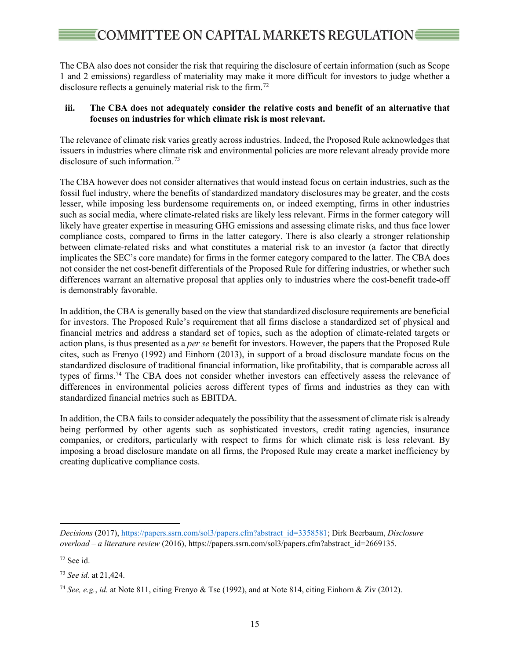The CBA also does not consider the risk that requiring the disclosure of certain information (such as Scope 1 and 2 emissions) regardless of materiality may make it more difficult for investors to judge whether a disclosure reflects a genuinely material risk to the firm.<sup>72</sup>

#### **iii. The CBA does not adequately consider the relative costs and benefit of an alternative that focuses on industries for which climate risk is most relevant.**

The relevance of climate risk varies greatly across industries. Indeed, the Proposed Rule acknowledges that issuers in industries where climate risk and environmental policies are more relevant already provide more disclosure of such information[.73](#page-14-1)

The CBA however does not consider alternatives that would instead focus on certain industries, such as the fossil fuel industry, where the benefits of standardized mandatory disclosures may be greater, and the costs lesser, while imposing less burdensome requirements on, or indeed exempting, firms in other industries such as social media, where climate-related risks are likely less relevant. Firms in the former category will likely have greater expertise in measuring GHG emissions and assessing climate risks, and thus face lower compliance costs, compared to firms in the latter category. There is also clearly a stronger relationship between climate-related risks and what constitutes a material risk to an investor (a factor that directly implicates the SEC's core mandate) for firms in the former category compared to the latter. The CBA does not consider the net cost-benefit differentials of the Proposed Rule for differing industries, or whether such differences warrant an alternative proposal that applies only to industries where the cost-benefit trade-off is demonstrably favorable.

In addition, the CBA is generally based on the view that standardized disclosure requirements are beneficial for investors. The Proposed Rule's requirement that all firms disclose a standardized set of physical and financial metrics and address a standard set of topics, such as the adoption of climate-related targets or action plans, is thus presented as a *per se* benefit for investors. However, the papers that the Proposed Rule cites, such as Frenyo (1992) and Einhorn (2013), in support of a broad disclosure mandate focus on the standardized disclosure of traditional financial information, like profitability, that is comparable across all types of firms.[74](#page-14-2) The CBA does not consider whether investors can effectively assess the relevance of differences in environmental policies across different types of firms and industries as they can with standardized financial metrics such as EBITDA.

In addition, the CBA fails to consider adequately the possibility that the assessment of climate risk is already being performed by other agents such as sophisticated investors, credit rating agencies, insurance companies, or creditors, particularly with respect to firms for which climate risk is less relevant. By imposing a broad disclosure mandate on all firms, the Proposed Rule may create a market inefficiency by creating duplicative compliance costs.

<span id="page-14-0"></span>*Decisions* (2017)[, https://papers.ssrn.com/sol3/papers.cfm?abstract\\_id=3358581;](https://papers.ssrn.com/sol3/papers.cfm?abstract_id=3358581) Dirk Beerbaum, *Disclosure overload – a literature review* (2016), https://papers.ssrn.com/sol3/papers.cfm?abstract\_id=2669135.

<span id="page-14-1"></span><sup>72</sup> See id.

<span id="page-14-2"></span><sup>73</sup> *See id.* at 21,424.

<sup>74</sup> *See, e.g.*, *id.* at Note 811, citing Frenyo & Tse (1992), and at Note 814, citing Einhorn & Ziv (2012).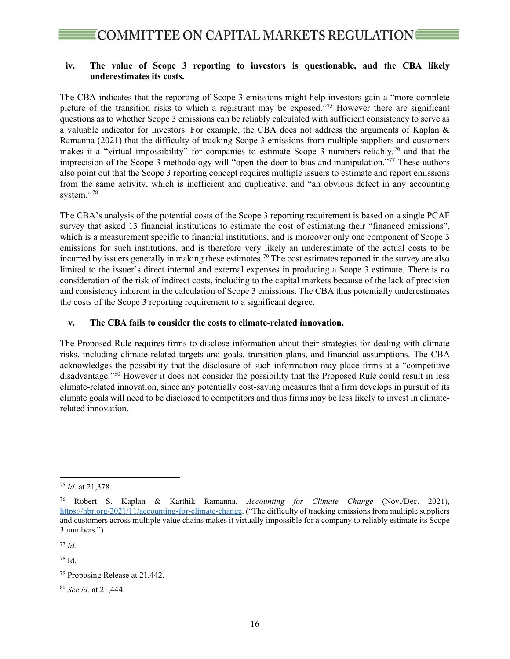#### **iv. The value of Scope 3 reporting to investors is questionable, and the CBA likely underestimates its costs.**

The CBA indicates that the reporting of Scope 3 emissions might help investors gain a "more complete picture of the transition risks to which a registrant may be exposed."[75](#page-15-0) However there are significant questions as to whether Scope 3 emissions can be reliably calculated with sufficient consistency to serve as a valuable indicator for investors. For example, the CBA does not address the arguments of Kaplan & Ramanna (2021) that the difficulty of tracking Scope 3 emissions from multiple suppliers and customers makes it a "virtual impossibility" for companies to estimate Scope 3 numbers reliably,<sup>[76](#page-15-1)</sup> and that the imprecision of the Scope 3 methodology will "open the door to bias and manipulation.["77](#page-15-2) These authors also point out that the Scope 3 reporting concept requires multiple issuers to estimate and report emissions from the same activity, which is inefficient and duplicative, and "an obvious defect in any accounting system."[78](#page-15-3)

The CBA's analysis of the potential costs of the Scope 3 reporting requirement is based on a single PCAF survey that asked 13 financial institutions to estimate the cost of estimating their "financed emissions", which is a measurement specific to financial institutions, and is moreover only one component of Scope 3 emissions for such institutions, and is therefore very likely an underestimate of the actual costs to be incurred by issuers generally in making these estimates.<sup>[79](#page-15-4)</sup> The cost estimates reported in the survey are also limited to the issuer's direct internal and external expenses in producing a Scope 3 estimate. There is no consideration of the risk of indirect costs, including to the capital markets because of the lack of precision and consistency inherent in the calculation of Scope 3 emissions. The CBA thus potentially underestimates the costs of the Scope 3 reporting requirement to a significant degree.

#### **v. The CBA fails to consider the costs to climate-related innovation.**

The Proposed Rule requires firms to disclose information about their strategies for dealing with climate risks, including climate-related targets and goals, transition plans, and financial assumptions. The CBA acknowledges the possibility that the disclosure of such information may place firms at a "competitive disadvantage."[80](#page-15-5) However it does not consider the possibility that the Proposed Rule could result in less climate-related innovation, since any potentially cost-saving measures that a firm develops in pursuit of its climate goals will need to be disclosed to competitors and thus firms may be less likely to invest in climaterelated innovation.

<span id="page-15-3"></span><span id="page-15-2"></span><sup>77</sup> *Id.*

<span id="page-15-4"></span><sup>78</sup> Id.

<span id="page-15-1"></span><sup>75</sup> *Id*. at 21,378.

<sup>76</sup> Robert S. Kaplan & Karthik Ramanna, *Accounting for Climate Change* (Nov./Dec. 2021), [https://hbr.org/2021/11/accounting-for-climate-change.](https://hbr.org/2021/11/accounting-for-climate-change) ("The difficulty of tracking emissions from multiple suppliers and customers across multiple value chains makes it virtually impossible for a company to reliably estimate its Scope 3 numbers.")

<span id="page-15-5"></span><sup>79</sup> Proposing Release at 21,442.

<span id="page-15-0"></span><sup>80</sup> *See id.* at 21,444.